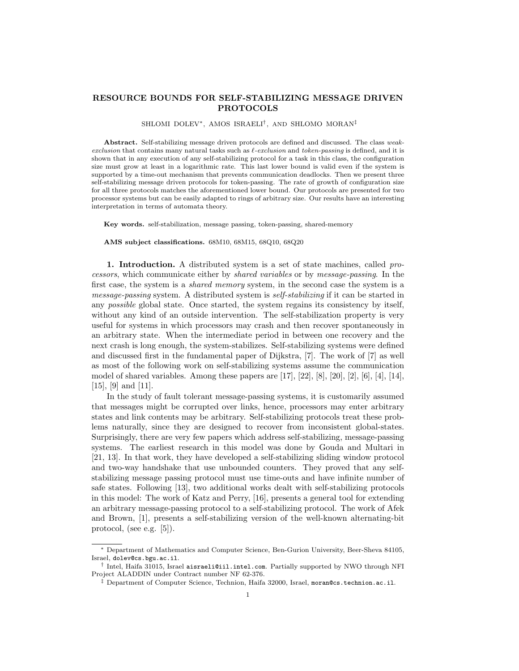# RESOURCE BOUNDS FOR SELF-STABILIZING MESSAGE DRIVEN PROTOCOLS

## SHLOMI DOLEV∗, AMOS ISRAELI† , AND SHLOMO MORAN‡

Abstract. Self-stabilizing message driven protocols are defined and discussed. The class weakexclusion that contains many natural tasks such as  $\ell$ -exclusion and token-passing is defined, and it is shown that in any execution of any self-stabilizing protocol for a task in this class, the configuration size must grow at least in a logarithmic rate. This last lower bound is valid even if the system is supported by a time-out mechanism that prevents communication deadlocks. Then we present three self-stabilizing message driven protocols for token-passing. The rate of growth of configuration size for all three protocols matches the aforementioned lower bound. Our protocols are presented for two processor systems but can be easily adapted to rings of arbitrary size. Our results have an interesting interpretation in terms of automata theory.

Key words. self-stabilization, message passing, token-passing, shared-memory

AMS subject classifications. 68M10, 68M15, 68Q10, 68Q20

1. Introduction. A distributed system is a set of state machines, called processors, which communicate either by shared variables or by message-passing. In the first case, the system is a shared memory system, in the second case the system is a message-passing system. A distributed system is self-stabilizing if it can be started in any possible global state. Once started, the system regains its consistency by itself, without any kind of an outside intervention. The self-stabilization property is very useful for systems in which processors may crash and then recover spontaneously in an arbitrary state. When the intermediate period in between one recovery and the next crash is long enough, the system-stabilizes. Self-stabilizing systems were defined and discussed first in the fundamental paper of Dijkstra, [7]. The work of [7] as well as most of the following work on self-stabilizing systems assume the communication model of shared variables. Among these papers are  $[17]$ ,  $[22]$ ,  $[8]$ ,  $[20]$ ,  $[2]$ ,  $[6]$ ,  $[4]$ ,  $[14]$ , [15], [9] and [11].

In the study of fault tolerant message-passing systems, it is customarily assumed that messages might be corrupted over links, hence, processors may enter arbitrary states and link contents may be arbitrary. Self-stabilizing protocols treat these problems naturally, since they are designed to recover from inconsistent global-states. Surprisingly, there are very few papers which address self-stabilizing, message-passing systems. The earliest research in this model was done by Gouda and Multari in [21, 13]. In that work, they have developed a self-stabilizing sliding window protocol and two-way handshake that use unbounded counters. They proved that any selfstabilizing message passing protocol must use time-outs and have infinite number of safe states. Following [13], two additional works dealt with self-stabilizing protocols in this model: The work of Katz and Perry, [16], presents a general tool for extending an arbitrary message-passing protocol to a self-stabilizing protocol. The work of Afek and Brown, [1], presents a self-stabilizing version of the well-known alternating-bit protocol, (see e.g. [5]).

<sup>∗</sup> Department of Mathematics and Computer Science, Ben-Gurion University, Beer-Sheva 84105, Israel, dolev@cs.bgu.ac.il.

<sup>†</sup> Intel, Haifa 31015, Israel aisraeli@iil.intel.com. Partially supported by NWO through NFI Project ALADDIN under Contract number NF 62-376.

<sup>‡</sup> Department of Computer Science, Technion, Haifa 32000, Israel, moran@cs.technion.ac.il.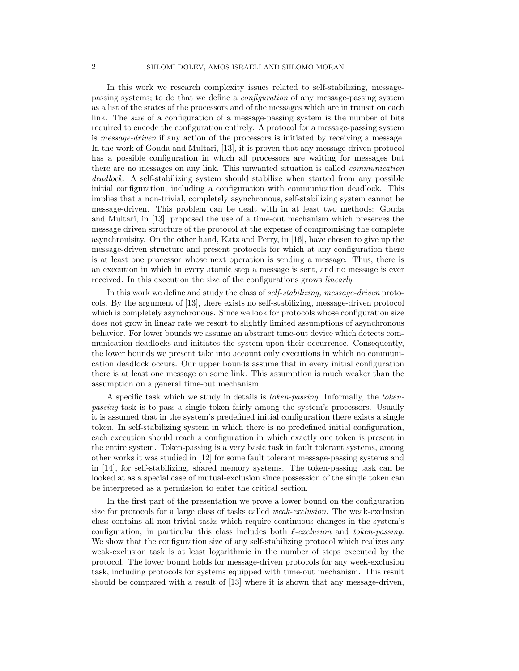In this work we research complexity issues related to self-stabilizing, messagepassing systems; to do that we define a configuration of any message-passing system as a list of the states of the processors and of the messages which are in transit on each link. The size of a configuration of a message-passing system is the number of bits required to encode the configuration entirely. A protocol for a message-passing system is message-driven if any action of the processors is initiated by receiving a message. In the work of Gouda and Multari, [13], it is proven that any message-driven protocol has a possible configuration in which all processors are waiting for messages but there are no messages on any link. This unwanted situation is called communication deadlock. A self-stabilizing system should stabilize when started from any possible initial configuration, including a configuration with communication deadlock. This implies that a non-trivial, completely asynchronous, self-stabilizing system cannot be message-driven. This problem can be dealt with in at least two methods: Gouda and Multari, in [13], proposed the use of a time-out mechanism which preserves the message driven structure of the protocol at the expense of compromising the complete asynchronisity. On the other hand, Katz and Perry, in [16], have chosen to give up the message-driven structure and present protocols for which at any configuration there is at least one processor whose next operation is sending a message. Thus, there is an execution in which in every atomic step a message is sent, and no message is ever received. In this execution the size of the configurations grows *linearly*.

In this work we define and study the class of self-stabilizing, message-driven protocols. By the argument of [13], there exists no self-stabilizing, message-driven protocol which is completely asynchronous. Since we look for protocols whose configuration size does not grow in linear rate we resort to slightly limited assumptions of asynchronous behavior. For lower bounds we assume an abstract time-out device which detects communication deadlocks and initiates the system upon their occurrence. Consequently, the lower bounds we present take into account only executions in which no communication deadlock occurs. Our upper bounds assume that in every initial configuration there is at least one message on some link. This assumption is much weaker than the assumption on a general time-out mechanism.

A specific task which we study in details is token-passing. Informally, the tokenpassing task is to pass a single token fairly among the system's processors. Usually it is assumed that in the system's predefined initial configuration there exists a single token. In self-stabilizing system in which there is no predefined initial configuration, each execution should reach a configuration in which exactly one token is present in the entire system. Token-passing is a very basic task in fault tolerant systems, among other works it was studied in [12] for some fault tolerant message-passing systems and in [14], for self-stabilizing, shared memory systems. The token-passing task can be looked at as a special case of mutual-exclusion since possession of the single token can be interpreted as a permission to enter the critical section.

In the first part of the presentation we prove a lower bound on the configuration size for protocols for a large class of tasks called weak-exclusion. The weak-exclusion class contains all non-trivial tasks which require continuous changes in the system's configuration; in particular this class includes both  $\ell$ -exclusion and token-passing. We show that the configuration size of any self-stabilizing protocol which realizes any weak-exclusion task is at least logarithmic in the number of steps executed by the protocol. The lower bound holds for message-driven protocols for any week-exclusion task, including protocols for systems equipped with time-out mechanism. This result should be compared with a result of [13] where it is shown that any message-driven,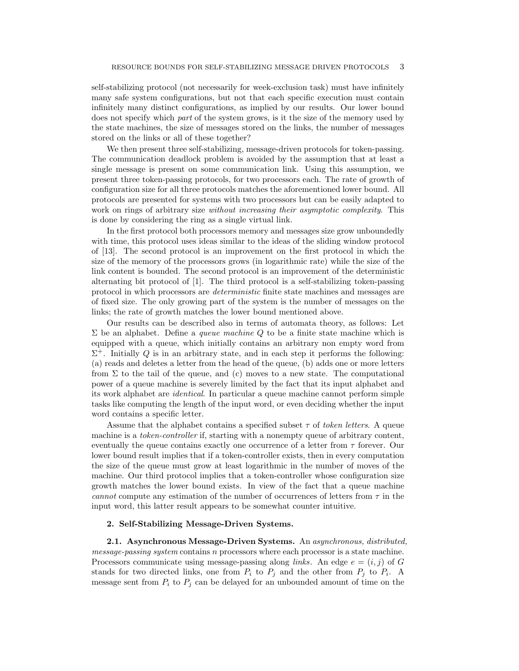self-stabilizing protocol (not necessarily for week-exclusion task) must have infinitely many safe system configurations, but not that each specific execution must contain infinitely many distinct configurations, as implied by our results. Our lower bound does not specify which *part* of the system grows, is it the size of the memory used by the state machines, the size of messages stored on the links, the number of messages stored on the links or all of these together?

We then present three self-stabilizing, message-driven protocols for token-passing. The communication deadlock problem is avoided by the assumption that at least a single message is present on some communication link. Using this assumption, we present three token-passing protocols, for two processors each. The rate of growth of configuration size for all three protocols matches the aforementioned lower bound. All protocols are presented for systems with two processors but can be easily adapted to work on rings of arbitrary size *without increasing their asymptotic complexity*. This is done by considering the ring as a single virtual link.

In the first protocol both processors memory and messages size grow unboundedly with time, this protocol uses ideas similar to the ideas of the sliding window protocol of [13]. The second protocol is an improvement on the first protocol in which the size of the memory of the processors grows (in logarithmic rate) while the size of the link content is bounded. The second protocol is an improvement of the deterministic alternating bit protocol of [1]. The third protocol is a self-stabilizing token-passing protocol in which processors are deterministic finite state machines and messages are of fixed size. The only growing part of the system is the number of messages on the links; the rate of growth matches the lower bound mentioned above.

Our results can be described also in terms of automata theory, as follows: Let  $\Sigma$  be an alphabet. Define a queue machine Q to be a finite state machine which is equipped with a queue, which initially contains an arbitrary non empty word from  $\Sigma^+$ . Initially Q is in an arbitrary state, and in each step it performs the following: (a) reads and deletes a letter from the head of the queue, (b) adds one or more letters from  $\Sigma$  to the tail of the queue, and (c) moves to a new state. The computational power of a queue machine is severely limited by the fact that its input alphabet and its work alphabet are identical. In particular a queue machine cannot perform simple tasks like computing the length of the input word, or even deciding whether the input word contains a specific letter.

Assume that the alphabet contains a specified subset  $\tau$  of token letters. A queue machine is a *token-controller* if, starting with a nonempty queue of arbitrary content, eventually the queue contains exactly one occurrence of a letter from  $\tau$  forever. Our lower bound result implies that if a token-controller exists, then in every computation the size of the queue must grow at least logarithmic in the number of moves of the machine. Our third protocol implies that a token-controller whose configuration size growth matches the lower bound exists. In view of the fact that a queue machine cannot compute any estimation of the number of occurrences of letters from  $\tau$  in the input word, this latter result appears to be somewhat counter intuitive.

## 2. Self-Stabilizing Message-Driven Systems.

2.1. Asynchronous Message-Driven Systems. An asynchronous, distributed, message-passing system contains n processors where each processor is a state machine. Processors communicate using message-passing along *links*. An edge  $e = (i, j)$  of G stands for two directed links, one from  $P_i$  to  $P_j$  and the other from  $P_j$  to  $P_i$ . A message sent from  $P_i$  to  $P_j$  can be delayed for an unbounded amount of time on the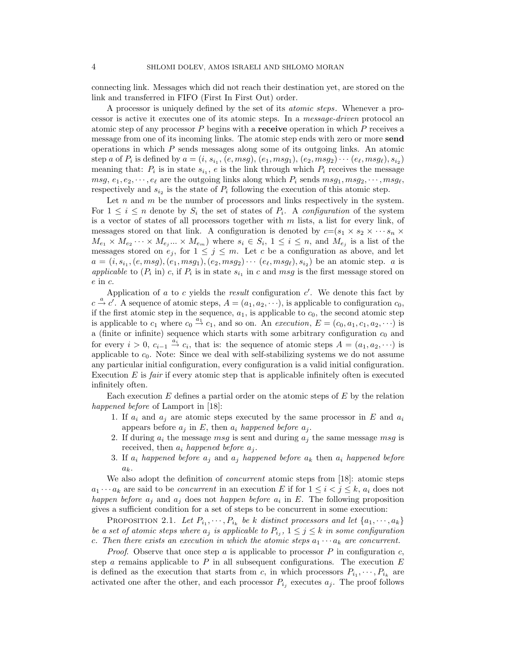connecting link. Messages which did not reach their destination yet, are stored on the link and transferred in FIFO (First In First Out) order.

A processor is uniquely defined by the set of its atomic steps. Whenever a processor is active it executes one of its atomic steps. In a message-driven protocol an atomic step of any processor  $P$  begins with a **receive** operation in which  $P$  receives a message from one of its incoming links. The atomic step ends with zero or more send operations in which  $P$  sends messages along some of its outgoing links. An atomic step a of  $P_i$  is defined by  $a = (i, s_{i_1}, (e, msg), (e_1, msg_1), (e_2, msg_2) \cdots (e_\ell, msg_\ell), s_{i_2})$ meaning that:  $P_i$  is in state  $s_{i_1}$ , e is the link through which  $P_i$  receives the message  $msg, e_1, e_2, \dots, e_\ell$  are the outgoing links along which  $P_i$  sends  $msg_1, msg_2, \dots, msg_\ell$ , respectively and  $s_{i_2}$  is the state of  $P_i$  following the execution of this atomic step.

Let  $n$  and  $m$  be the number of processors and links respectively in the system. For  $1 \leq i \leq n$  denote by  $S_i$  the set of states of  $P_i$ . A configuration of the system is a vector of states of all processors together with  $m$  lists, a list for every link, of messages stored on that link. A configuration is denoted by  $c=(s_1 \times s_2 \times \cdots s_n \times s_n)$  $M_{e_1} \times M_{e_2} \cdots \times M_{e_j} \dots \times M_{e_m}$  where  $s_i \in S_i$ ,  $1 \leq i \leq n$ , and  $M_{e_j}$  is a list of the messages stored on  $e_j$ , for  $1 \leq j \leq m$ . Let c be a configuration as above, and let  $a = (i, s_{i_1}, (e, msg), (e_1, msg_1), (e_2, msg_2) \cdots (e_{\ell}, msg_{\ell}), s_{i_2})$  be an atomic step. a is applicable to  $(P_i \text{ in})$  c, if  $P_i$  is in state  $s_{i_1}$  in c and msg is the first message stored on e in c.

Application of  $a$  to  $c$  yields the *result* configuration  $c'$ . We denote this fact by  $c \stackrel{a}{\rightarrow} c'$ . A sequence of atomic steps,  $A = (a_1, a_2, \cdots)$ , is applicable to configuration  $c_0$ , if the first atomic step in the sequence,  $a_1$ , is applicable to  $c_0$ , the second atomic step is applicable to  $c_1$  where  $c_0 \stackrel{a_1}{\rightarrow} c_1$ , and so on. An execution,  $E = (c_0, a_1, c_1, a_2, \cdots)$  is a (finite or infinite) sequence which starts with some arbitrary configuration  $c_0$  and for every  $i > 0$ ,  $c_{i-1} \stackrel{a_i}{\rightarrow} c_i$ , that is: the sequence of atomic steps  $A = (a_1, a_2, \cdots)$  is applicable to  $c_0$ . Note: Since we deal with self-stabilizing systems we do not assume any particular initial configuration, every configuration is a valid initial configuration. Execution  $E$  is *fair* if every atomic step that is applicable infinitely often is executed infinitely often.

Each execution  $E$  defines a partial order on the atomic steps of  $E$  by the relation happened before of Lamport in [18]:

- 1. If  $a_i$  and  $a_j$  are atomic steps executed by the same processor in E and  $a_i$ appears before  $a_j$  in E, then  $a_i$  happened before  $a_j$ .
- 2. If during  $a_i$  the message msg is sent and during  $a_j$  the same message msg is received, then  $a_i$  happened before  $a_j$ .
- 3. If  $a_i$  happened before  $a_j$  and  $a_j$  happened before  $a_k$  then  $a_i$  happened before  $a_k$ .

We also adopt the definition of *concurrent* atomic steps from [18]: atomic steps  $a_1 \cdots a_k$  are said to be *concurrent* in an execution E if for  $1 \leq i < j \leq k$ ,  $a_i$  does not happen before  $a_j$  and  $a_j$  does not happen before  $a_i$  in E. The following proposition gives a sufficient condition for a set of steps to be concurrent in some execution:

PROPOSITION 2.1. Let  $P_{i_1}, \cdots, P_{i_k}$  be k distinct processors and let  $\{a_1, \cdots, a_k\}$ be a set of atomic steps where  $a_j$  is applicable to  $P_{i_j}$ ,  $1 \leq j \leq k$  in some configuration c. Then there exists an execution in which the atomic steps  $a_1 \cdots a_k$  are concurrent.

*Proof.* Observe that once step a is applicable to processor P in configuration c, step  $\alpha$  remains applicable to  $P$  in all subsequent configurations. The execution  $E$ is defined as the execution that starts from c, in which processors  $P_{i_1}, \dots, P_{i_k}$  are activated one after the other, and each processor  $P_{i_j}$  executes  $a_j$ . The proof follows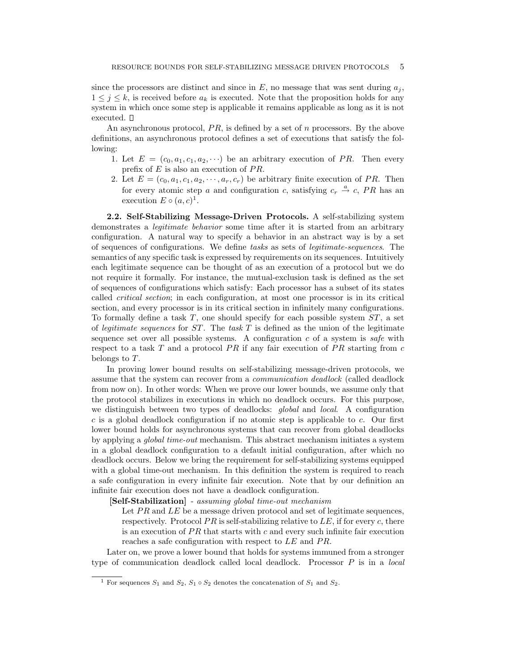since the processors are distinct and since in  $E$ , no message that was sent during  $a_i$ ,  $1 \leq j \leq k$ , is received before  $a_k$  is executed. Note that the proposition holds for any system in which once some step is applicable it remains applicable as long as it is not executed.

An asynchronous protocol,  $PR$ , is defined by a set of  $n$  processors. By the above definitions, an asynchronous protocol defines a set of executions that satisfy the following:

- 1. Let  $E = (c_0, a_1, c_1, a_2, \cdots)$  be an arbitrary execution of PR. Then every prefix of  $E$  is also an execution of  $PR$ .
- 2. Let  $E = (c_0, a_1, c_1, a_2, \dots, a_r, c_r)$  be arbitrary finite execution of PR. Then for every atomic step a and configuration c, satisfying  $c_r \stackrel{a}{\rightarrow} c$ , PR has an execution  $E \circ (a, c)^1$ .

2.2. Self-Stabilizing Message-Driven Protocols. A self-stabilizing system demonstrates a *legitimate behavior* some time after it is started from an arbitrary configuration. A natural way to specify a behavior in an abstract way is by a set of sequences of configurations. We define tasks as sets of legitimate-sequences. The semantics of any specific task is expressed by requirements on its sequences. Intuitively each legitimate sequence can be thought of as an execution of a protocol but we do not require it formally. For instance, the mutual-exclusion task is defined as the set of sequences of configurations which satisfy: Each processor has a subset of its states called critical section; in each configuration, at most one processor is in its critical section, and every processor is in its critical section in infinitely many configurations. To formally define a task  $T$ , one should specify for each possible system  $ST$ , a set of legitimate sequences for  $ST$ . The task T is defined as the union of the legitimate sequence set over all possible systems. A configuration  $c$  of a system is safe with respect to a task T and a protocol  $PR$  if any fair execution of  $PR$  starting from c belongs to T.

In proving lower bound results on self-stabilizing message-driven protocols, we assume that the system can recover from a communication deadlock (called deadlock from now on). In other words: When we prove our lower bounds, we assume only that the protocol stabilizes in executions in which no deadlock occurs. For this purpose, we distinguish between two types of deadlocks: *global* and *local*. A configuration  $c$  is a global deadlock configuration if no atomic step is applicable to  $c$ . Our first lower bound holds for asynchronous systems that can recover from global deadlocks by applying a global time-out mechanism. This abstract mechanism initiates a system in a global deadlock configuration to a default initial configuration, after which no deadlock occurs. Below we bring the requirement for self-stabilizing systems equipped with a global time-out mechanism. In this definition the system is required to reach a safe configuration in every infinite fair execution. Note that by our definition an infinite fair execution does not have a deadlock configuration.

[Self-Stabilization] - assuming global time-out mechanism

Let  $PR$  and  $LE$  be a message driven protocol and set of legitimate sequences, respectively. Protocol  $PR$  is self-stabilizing relative to  $LE$ , if for every c, there is an execution of  $PR$  that starts with c and every such infinite fair execution reaches a safe configuration with respect to  $LE$  and  $PR$ .

Later on, we prove a lower bound that holds for systems immuned from a stronger type of communication deadlock called local deadlock. Processor  $P$  is in a local

<sup>&</sup>lt;sup>1</sup> For sequences  $S_1$  and  $S_2$ ,  $S_1 \circ S_2$  denotes the concatenation of  $S_1$  and  $S_2$ .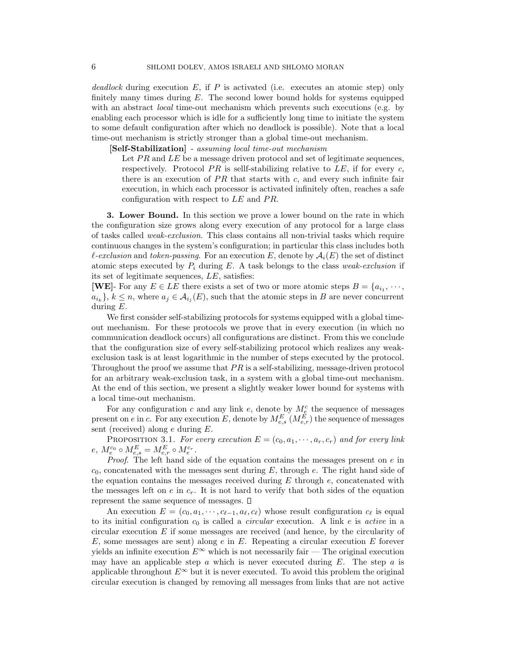deadlock during execution  $E$ , if  $P$  is activated (i.e. executes an atomic step) only finitely many times during  $E$ . The second lower bound holds for systems equipped with an abstract *local* time-out mechanism which prevents such executions (e.g. by enabling each processor which is idle for a sufficiently long time to initiate the system to some default configuration after which no deadlock is possible). Note that a local time-out mechanism is strictly stronger than a global time-out mechanism.

[Self-Stabilization] - assuming local time-out mechanism

Let  $PR$  and  $LE$  be a message driven protocol and set of legitimate sequences, respectively. Protocol  $PR$  is sellf-stabilizing relative to  $LE$ , if for every c, there is an execution of  $PR$  that starts with c, and every such infinite fair execution, in which each processor is activated infinitely often, reaches a safe configuration with respect to  $LE$  and  $PR$ .

3. Lower Bound. In this section we prove a lower bound on the rate in which the configuration size grows along every execution of any protocol for a large class of tasks called weak-exclusion. This class contains all non-trivial tasks which require continuous changes in the system's configuration; in particular this class includes both  $\ell$ -exclusion and token-passing. For an execution E, denote by  $\mathcal{A}_i(E)$  the set of distinct atomic steps executed by  $P_i$  during E. A task belongs to the class weak-exclusion if its set of legitimate sequences, LE, satisfies:

[WE]- For any  $E \in LE$  there exists a set of two or more atomic steps  $B = \{a_{i_1}, \dots, a_{i_m}\}$  $a_{i_k}$ ,  $k \leq n$ , where  $a_j \in \mathcal{A}_{i_j}(E)$ , such that the atomic steps in B are never concurrent during E.

We first consider self-stabilizing protocols for systems equipped with a global timeout mechanism. For these protocols we prove that in every execution (in which no communication deadlock occurs) all configurations are distinct. From this we conclude that the configuration size of every self-stabilizing protocol which realizes any weakexclusion task is at least logarithmic in the number of steps executed by the protocol. Throughout the proof we assume that  $PR$  is a self-stabilizing, message-driven protocol for an arbitrary weak-exclusion task, in a system with a global time-out mechanism. At the end of this section, we present a slightly weaker lower bound for systems with a local time-out mechanism.

For any configuration c and any link  $e$ , denote by  $M_e^c$  the sequence of messages present on e in c. For any execution E, denote by  $M_{e,s}^E(M_{e,r}^E)$  the sequence of messages sent (received) along  $e$  during  $E$ .

PROPOSITION 3.1. For every execution  $E = (c_0, a_1, \dots, a_r, c_r)$  and for every link  $e, M_e^{c_0} \circ M_{e,s}^E = M_{e,r}^E \circ M_e^{c_r}.$ 

*Proof.* The left hand side of the equation contains the messages present on  $e$  in  $c_0$ , concatenated with the messages sent during E, through e. The right hand side of the equation contains the messages received during  $E$  through  $e$ , concatenated with the messages left on  $e$  in  $c_r$ . It is not hard to verify that both sides of the equation represent the same sequence of messages.

An execution  $E = (c_0, a_1, \dots, c_{\ell-1}, a_{\ell}, c_{\ell})$  whose result configuration  $c_{\ell}$  is equal to its initial configuration  $c_0$  is called a *circular* execution. A link e is *active* in a circular execution  $E$  if some messages are received (and hence, by the circularity of E, some messages are sent) along e in E. Repeating a circular execution  $E$  forever yields an infinite execution  $E^{\infty}$  which is not necessarily fair — The original execution may have an applicable step  $\alpha$  which is never executed during  $E$ . The step  $\alpha$  is applicable throughout  $E^{\infty}$  but it is never executed. To avoid this problem the original circular execution is changed by removing all messages from links that are not active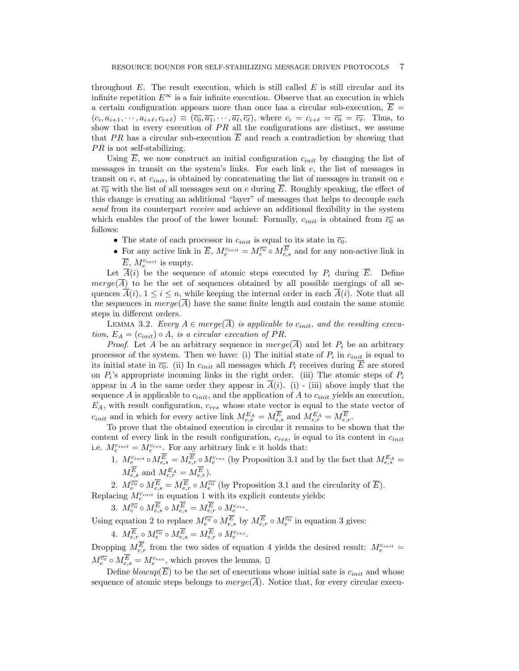throughout  $E$ . The result execution, which is still called  $E$  is still circular and its infinite repetition  $E^{\infty}$  is a fair infinite execution. Observe that an execution in which a certain configuration appears more than once has a circular sub-execution,  $\overline{E}$  =  $(c_i, a_{i+1}, \dots, a_{i+\ell}, c_{i+\ell}) \equiv (\overline{c_0}, \overline{a_1}, \dots, \overline{a_\ell}, \overline{c_\ell})$ , where  $c_i = c_{i+\ell} = \overline{c_0} = \overline{c_\ell}$ . Thus, to show that in every execution of  $PR$  all the configurations are distinct, we assume that PR has a circular sub-execution  $\overline{E}$  and reach a contradiction by showing that  $PR$  is not self-stabilizing.

Using  $\overline{E}$ , we now construct an initial configuration  $c_{init}$  by changing the list of messages in transit on the system's links. For each link e, the list of messages in transit on  $e$ , at  $c_{init}$ , is obtained by concatenating the list of messages in transit on  $e$ at  $\overline{c_0}$  with the list of all messages sent on e during E. Roughly speaking, the effect of this change is creating an additional "layer" of messages that helps to decouple each send from its counterpart *receive* and achieve an additional flexibility in the system which enables the proof of the lower bound: Formally,  $c_{init}$  is obtained from  $\overline{c_0}$  as follows:

- The state of each processor in  $c_{init}$  is equal to its state in  $\overline{c_0}$ .
- For any active link in  $\overline{E}$ ,  $M_e^{c_{init}} = M_e^{\overline{c_0}} \circ M_{e,s}^E$  and for any non-active link in  $\overline{E}$ ,  $M_e^{c_{init}}$  is empty.

Let  $\overline{A}(i)$  be the sequence of atomic steps executed by  $P_i$  during  $\overline{E}$ . Define  $merge(\overline{A})$  to be the set of sequences obtained by all possible mergings of all sequences  $\overline{A}(i)$ ,  $1 \leq i \leq n$ , while keeping the internal order in each  $\overline{A}(i)$ . Note that all the sequences in  $merge(\overline{A})$  have the same finite length and contain the same atomic steps in different orders.

LEMMA 3.2. Every  $A \in merge(\overline{A})$  is applicable to  $c_{init}$ , and the resulting execution,  $E_A = (c_{init}) \circ A$ , is a circular execution of PR.

*Proof.* Let A be an arbitrary sequence in  $merge(\overline{A})$  and let  $P_i$  be an arbitrary processor of the system. Then we have: (i) The initial state of  $P_i$  in  $c_{init}$  is equal to its initial state in  $\overline{c_0}$ . (ii) In  $c_{init}$  all messages which  $P_i$  receives during E are stored on  $P_i$ 's appropriate incoming links in the right order. (iii) The atomic steps of  $P_i$ appear in  $A$  in the same order they appear in  $A(i)$ . (i) - (iii) above imply that the sequence A is applicable to  $c_{init}$ , and the application of A to  $c_{init}$  yields an execution,  $E_A$ , with result configuration,  $c_{res}$  whose state vector is equal to the state vector of  $c_{init}$  and in which for every active link  $M_{e,s}^{E_A} = M_{e,s}^{E}$  and  $M_{e,r}^{E_A} = M_{e,r}^{E}$ .

To prove that the obtained execution is circular it remains to be shown that the content of every link in the result configuration,  $c_{res}$ , is equal to its content in  $c_{init}$ i.e.  $M_e^{c_{init}} = M_e^{c_{res}}$ . For any arbitrary link e it holds that:

1.  $M_e^{c_{init}} \circ M_{e,s}^E = M_{e,r}^E \circ M_e^{c_{res}}$  (by Proposition 3.1 and by the fact that  $M_{e,s}^{E_A} =$  $M_{e,s}^E$  and  $M_{e,r}^{E_A} = M_{e,r}^E$ .

2.  $M_{e}^{\overline{c_0}} \circ M_{e,s}^E = M_{e,r}^E \circ M_{e}^{\overline{c_0}}$  (by Proposition 3.1 and the circularity of  $\overline{E}$ ). Replacing  $M_e^{c_{init}}$  in equation 1 with its explicit contents yields:

3.  $M_{e}^{\overline{c_{0}}}\circ M_{e,s}^{E}\circ M_{e,s}^{E}=M_{e,r}^{E}\circ M_{e}^{c_{res}}.$ 

Using equation 2 to replace  $M_{e,\sigma}^{\overline{c_0}} \circ M_{e,s}^E$  by  $M_{e,r}^E \circ M_{e}^{\overline{c_0}}$  in equation 3 gives:

4.  $M_{e,r}^{E} \circ M_{e}^{\overline{c_{0}}}\circ M_{e,s}^{E}=M_{e,r}^{E}\circ M_{e}^{c_{res}}.$ 

Dropping  $M_{e,r}^E$  from the two sides of equation 4 yields the desired result:  $M_e^{c_{init}} =$  $M_{e}^{\overline{c_0}} \circ M_{e,s}^E = M_e^{c_{res}},$  which proves the lemma.

Define  $blown(\overline{E})$  to be the set of executions whose initial sate is  $c_{init}$  and whose sequence of atomic steps belongs to  $merge(\overline{A})$ . Notice that, for every circular execu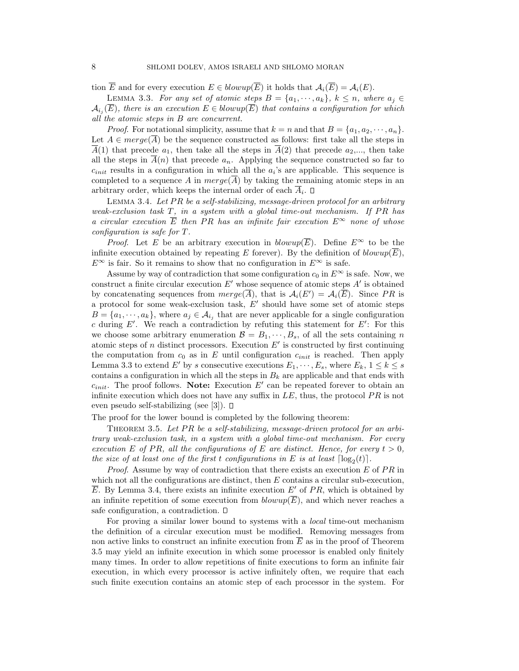tion  $\overline{E}$  and for every execution  $E \in blowup(\overline{E})$  it holds that  $\mathcal{A}_i(\overline{E}) = \mathcal{A}_i(E)$ .

LEMMA 3.3. For any set of atomic steps  $B = \{a_1, \dots, a_k\}, k \leq n$ , where  $a_j \in$  $\mathcal{A}_{i_j}(\overline{E}),$  there is an execution  $E \in blowup(\overline{E})$  that contains a configuration for which all the atomic steps in B are concurrent.

*Proof.* For notational simplicity, assume that  $k = n$  and that  $B = \{a_1, a_2, \dots, a_n\}$ . Let  $A \in merge(\overline{A})$  be the sequence constructed as follows: first take all the steps in  $\overline{A}(1)$  that precede  $a_1$ , then take all the steps in  $\overline{A}(2)$  that precede  $a_2,...$ , then take all the steps in  $\overline{A}(n)$  that precede  $a_n$ . Applying the sequence constructed so far to  $c_{init}$  results in a configuration in which all the  $a_i$ 's are applicable. This sequence is completed to a sequence A in  $merge(\overline{A})$  by taking the remaining atomic steps in an arbitrary order, which keeps the internal order of each  $\overline{A}_i$ .

LEMMA 3.4. Let  $PR$  be a self-stabilizing, message-driven protocol for an arbitrary weak-exclusion task  $T$ , in a system with a global time-out mechanism. If  $PR$  has a circular execution  $\overline{E}$  then PR has an infinite fair execution  $E^{\infty}$  none of whose configuration is safe for T.

*Proof.* Let E be an arbitrary execution in  $blown(\overline{E})$ . Define  $E^{\infty}$  to be the infinite execution obtained by repeating E forever). By the definition of  $blown(\overline{E})$ ,  $E^{\infty}$  is fair. So it remains to show that no configuration in  $E^{\infty}$  is safe.

Assume by way of contradiction that some configuration  $c_0$  in  $E^{\infty}$  is safe. Now, we construct a finite circular execution  $E'$  whose sequence of atomic steps  $A'$  is obtained by concatenating sequences from  $merge(\overline{A})$ , that is  $\mathcal{A}_i(E') = \mathcal{A}_i(\overline{E})$ . Since PR is a protocol for some weak-exclusion task,  $E'$  should have some set of atomic steps  $B = \{a_1, \dots, a_k\}$ , where  $a_j \in \mathcal{A}_{i_j}$  that are never applicable for a single configuration c during  $E'$ . We reach a contradiction by refuting this statement for  $E'$ : For this we choose some arbitrary enumeration  $\mathcal{B} = B_1, \cdots, B_s$ , of all the sets containing n atomic steps of n distinct processors. Execution  $E'$  is constructed by first continuing the computation from  $c_0$  as in E until configuration  $c_{init}$  is reached. Then apply Lemma 3.3 to extend E' by s consecutive executions  $E_1, \dots, E_s$ , where  $E_k$ ,  $1 \leq k \leq s$ contains a configuration in which all the steps in  $B_k$  are applicable and that ends with  $c_{init}$ . The proof follows. Note: Execution  $E'$  can be repeated forever to obtain an infinite execution which does not have any suffix in  $LE$ , thus, the protocol  $PR$  is not even pseudo self-stabilizing (see [3]).  $\square$ 

The proof for the lower bound is completed by the following theorem:

THEOREM 3.5. Let  $PR$  be a self-stabilizing, message-driven protocol for an arbitrary weak-exclusion task, in a system with a global time-out mechanism. For every execution E of PR, all the configurations of E are distinct. Hence, for every  $t > 0$ , the size of at least one of the first t configurations in E is at least  $\lceil \log_2(t) \rceil$ .

*Proof.* Assume by way of contradiction that there exists an execution  $E$  of  $PR$  in which not all the configurations are distinct, then  $E$  contains a circular sub-execution,  $\overline{E}$ . By Lemma 3.4, there exists an infinite execution E' of PR, which is obtained by an infinite repetition of some execution from  $blown(E)$ , and which never reaches a safe configuration, a contradiction.  $\Box$ 

For proving a similar lower bound to systems with a local time-out mechanism the definition of a circular execution must be modified. Removing messages from non active links to construct an infinite execution from  $E$  as in the proof of Theorem 3.5 may yield an infinite execution in which some processor is enabled only finitely many times. In order to allow repetitions of finite executions to form an infinite fair execution, in which every processor is active infinitely often, we require that each such finite execution contains an atomic step of each processor in the system. For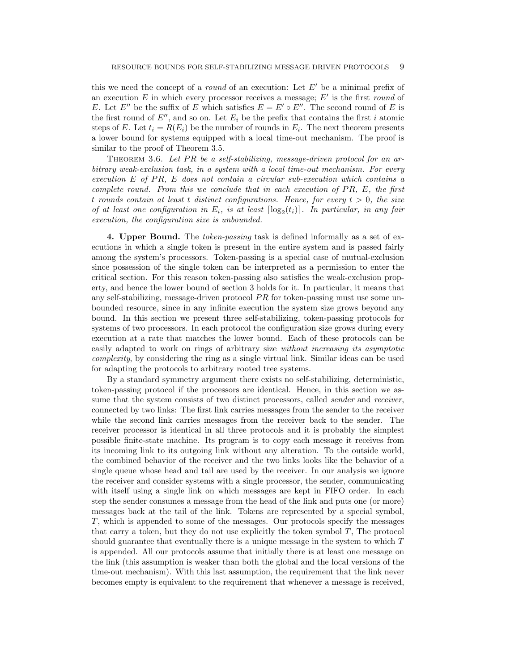this we need the concept of a *round* of an execution: Let  $E'$  be a minimal prefix of an execution  $E$  in which every processor receives a message;  $E'$  is the first round of E. Let E'' be the suffix of E which satisfies  $E = E' \circ E''$ . The second round of E is the first round of  $E''$ , and so on. Let  $E_i$  be the prefix that contains the first i atomic steps of E. Let  $t_i = R(E_i)$  be the number of rounds in  $E_i$ . The next theorem presents a lower bound for systems equipped with a local time-out mechanism. The proof is similar to the proof of Theorem 3.5.

THEOREM 3.6. Let PR be a self-stabilizing, message-driven protocol for an arbitrary weak-exclusion task, in a system with a local time-out mechanism. For every execution  $E$  of  $PR$ ,  $E$  does not contain a circular sub-execution which contains a complete round. From this we conclude that in each execution of  $PR$ ,  $E$ , the first t rounds contain at least t distinct configurations. Hence, for every  $t > 0$ , the size of at least one configuration in  $E_i$ , is at least  $\lceil \log_2(t_i) \rceil$ . In particular, in any fair execution, the configuration size is unbounded.

4. Upper Bound. The *token-passing* task is defined informally as a set of executions in which a single token is present in the entire system and is passed fairly among the system's processors. Token-passing is a special case of mutual-exclusion since possession of the single token can be interpreted as a permission to enter the critical section. For this reason token-passing also satisfies the weak-exclusion property, and hence the lower bound of section 3 holds for it. In particular, it means that any self-stabilizing, message-driven protocol  $PR$  for token-passing must use some unbounded resource, since in any infinite execution the system size grows beyond any bound. In this section we present three self-stabilizing, token-passing protocols for systems of two processors. In each protocol the configuration size grows during every execution at a rate that matches the lower bound. Each of these protocols can be easily adapted to work on rings of arbitrary size without increasing its asymptotic complexity, by considering the ring as a single virtual link. Similar ideas can be used for adapting the protocols to arbitrary rooted tree systems.

By a standard symmetry argument there exists no self-stabilizing, deterministic, token-passing protocol if the processors are identical. Hence, in this section we assume that the system consists of two distinct processors, called *sender* and *receiver*, connected by two links: The first link carries messages from the sender to the receiver while the second link carries messages from the receiver back to the sender. The receiver processor is identical in all three protocols and it is probably the simplest possible finite-state machine. Its program is to copy each message it receives from its incoming link to its outgoing link without any alteration. To the outside world, the combined behavior of the receiver and the two links looks like the behavior of a single queue whose head and tail are used by the receiver. In our analysis we ignore the receiver and consider systems with a single processor, the sender, communicating with itself using a single link on which messages are kept in FIFO order. In each step the sender consumes a message from the head of the link and puts one (or more) messages back at the tail of the link. Tokens are represented by a special symbol, T, which is appended to some of the messages. Our protocols specify the messages that carry a token, but they do not use explicitly the token symbol  $T$ , The protocol should guarantee that eventually there is a unique message in the system to which T is appended. All our protocols assume that initially there is at least one message on the link (this assumption is weaker than both the global and the local versions of the time-out mechanism). With this last assumption, the requirement that the link never becomes empty is equivalent to the requirement that whenever a message is received,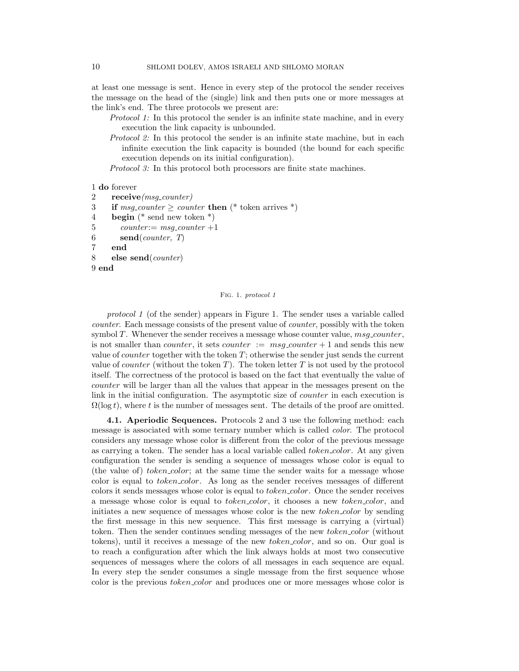at least one message is sent. Hence in every step of the protocol the sender receives the message on the head of the (single) link and then puts one or more messages at the link's end. The three protocols we present are:

Protocol 1: In this protocol the sender is an infinite state machine, and in every execution the link capacity is unbounded.

Protocol 2: In this protocol the sender is an infinite state machine, but in each infinite execution the link capacity is bounded (the bound for each specific execution depends on its initial configuration).

Protocol 3: In this protocol both processors are finite state machines.

1 do forever

```
2 receive(msq_counter)
3 if msg\_counter \geq counter then (* token arrives *)
4 begin (* send new token *)5 counter:= msg\_counter + 16 send(counter, T)
7 end
8 else send(counter)
9 end
```
## Fig. 1. protocol 1

protocol 1 (of the sender) appears in Figure 1. The sender uses a variable called counter. Each message consists of the present value of counter, possibly with the token symbol  $T$ . Whenever the sender receives a message whose counter value,  $mg\_counter$ , is not smaller than *counter*, it sets *counter*  $:= msg\_counter + 1$  and sends this new value of *counter* together with the token  $T$ ; otherwise the sender just sends the current value of *counter* (without the token  $T$ ). The token letter  $T$  is not used by the protocol itself. The correctness of the protocol is based on the fact that eventually the value of counter will be larger than all the values that appear in the messages present on the link in the initial configuration. The asymptotic size of *counter* in each execution is  $\Omega(\log t)$ , where t is the number of messages sent. The details of the proof are omitted.

4.1. Aperiodic Sequences. Protocols 2 and 3 use the following method: each message is associated with some ternary number which is called color. The protocol considers any message whose color is different from the color of the previous message as carrying a token. The sender has a local variable called  $token\_{color}$ . At any given configuration the sender is sending a sequence of messages whose color is equal to (the value of) token color; at the same time the sender waits for a message whose color is equal to token color. As long as the sender receives messages of different colors it sends messages whose color is equal to *token color*. Once the sender receives a message whose color is equal to *token\_color*, it chooses a new *token\_color*, and initiates a new sequence of messages whose color is the new *token\_color* by sending the first message in this new sequence. This first message is carrying a (virtual) token. Then the sender continues sending messages of the new *token color* (without tokens), until it receives a message of the new *token color*, and so on. Our goal is to reach a configuration after which the link always holds at most two consecutive sequences of messages where the colors of all messages in each sequence are equal. In every step the sender consumes a single message from the first sequence whose color is the previous *token color* and produces one or more messages whose color is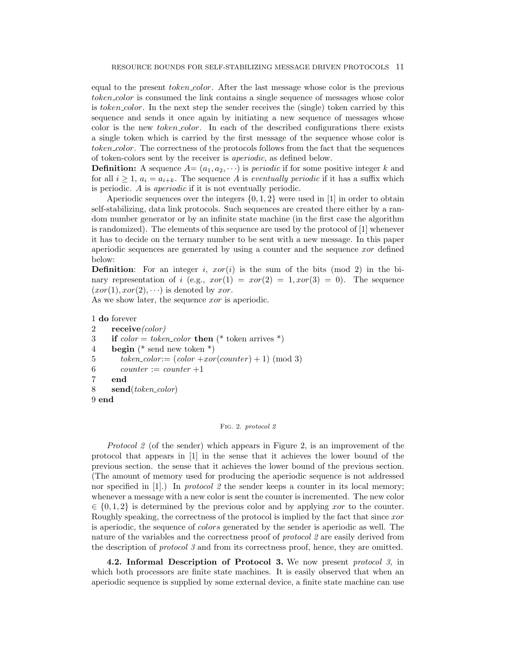equal to the present *token color*. After the last message whose color is the previous token\_color is consumed the link contains a single sequence of messages whose color is *token\_color*. In the next step the sender receives the (single) token carried by this sequence and sends it once again by initiating a new sequence of messages whose color is the new token color. In each of the described configurations there exists a single token which is carried by the first message of the sequence whose color is token\_color. The correctness of the protocols follows from the fact that the sequences of token-colors sent by the receiver is aperiodic, as defined below.

**Definition:** A sequence  $A = (a_1, a_2, \cdots)$  is *periodic* if for some positive integer k and for all  $i \geq 1$ ,  $a_i = a_{i+k}$ . The sequence A is *eventually periodic* if it has a suffix which is periodic. A is aperiodic if it is not eventually periodic.

Aperiodic sequences over the integers  $\{0, 1, 2\}$  were used in [1] in order to obtain self-stabilizing, data link protocols. Such sequences are created there either by a random number generator or by an infinite state machine (in the first case the algorithm is randomized). The elements of this sequence are used by the protocol of [1] whenever it has to decide on the ternary number to be sent with a new message. In this paper aperiodic sequences are generated by using a counter and the sequence xor defined below:

**Definition:** For an integer i,  $xor(i)$  is the sum of the bits (mod 2) in the binary representation of i (e.g.,  $xor(1) = xor(2) = 1, xor(3) = 0$ ). The sequence  $(xor(1), xor(2), \cdots)$  is denoted by xor.

As we show later, the sequence *xor* is aperiodic.

1 do forever

```
2 receive(color)
3 if color = token\_color then (* token arrives *)
4 begin (* send new token *)
5 token\_color := (color+wordarrow +\textit{or}(counter) + 1) \pmod{3}6 counter := counter +1
7 end
8 send(token_color)
9 end
```
#### Fig. 2. protocol 2

Protocol 2 (of the sender) which appears in Figure 2, is an improvement of the protocol that appears in [1] in the sense that it achieves the lower bound of the previous section. the sense that it achieves the lower bound of the previous section. (The amount of memory used for producing the aperiodic sequence is not addressed nor specified in  $[1]$ . In protocol 2 the sender keeps a counter in its local memory; whenever a message with a new color is sent the counter is incremented. The new color  $\in \{0, 1, 2\}$  is determined by the previous color and by applying xor to the counter. Roughly speaking, the correctness of the protocol is implied by the fact that since xor is aperiodic, the sequence of colors generated by the sender is aperiodic as well. The nature of the variables and the correctness proof of *protocol* 2 are easily derived from the description of *protocol* 3 and from its correctness proof, hence, they are omitted.

**4.2. Informal Description of Protocol 3.** We now present *protocol 3*, in which both processors are finite state machines. It is easily observed that when an aperiodic sequence is supplied by some external device, a finite state machine can use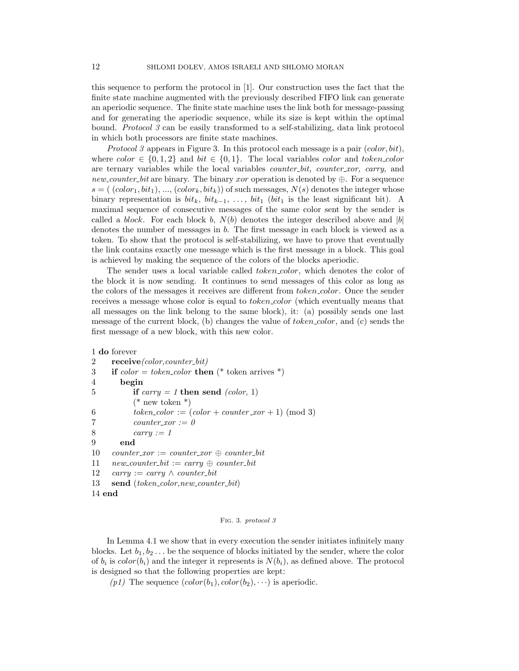this sequence to perform the protocol in [1]. Our construction uses the fact that the finite state machine augmented with the previously described FIFO link can generate an aperiodic sequence. The finite state machine uses the link both for message-passing and for generating the aperiodic sequence, while its size is kept within the optimal bound. Protocol 3 can be easily transformed to a self-stabilizing, data link protocol in which both processors are finite state machines.

*Protocol 3* appears in Figure 3. In this protocol each message is a pair  $(color, bit)$ , where  $color \in \{0,1,2\}$  and  $bit \in \{0,1\}$ . The local variables *color* and *token\_color* are ternary variables while the local variables *counter bit, counter xor, carry*, and new counter bit are binary. The binary xor operation is denoted by  $\oplus$ . For a sequence  $s = ( (color_1, bit_1), ..., (color_k, bit_k))$  of such messages,  $N(s)$  denotes the integer whose binary representation is  $bit_k$ ,  $bit_{k-1}$ , ...,  $bit_1$  (bit<sub>1</sub> is the least significant bit). A maximal sequence of consecutive messages of the same color sent by the sender is called a *block*. For each block b,  $N(b)$  denotes the integer described above and |b| denotes the number of messages in b. The first message in each block is viewed as a token. To show that the protocol is self-stabilizing, we have to prove that eventually the link contains exactly one message which is the first message in a block. This goal is achieved by making the sequence of the colors of the blocks aperiodic.

The sender uses a local variable called *token color*, which denotes the color of the block it is now sending. It continues to send messages of this color as long as the colors of the messages it receives are different from *token\_color*. Once the sender receives a message whose color is equal to *token color* (which eventually means that all messages on the link belong to the same block), it: (a) possibly sends one last message of the current block, (b) changes the value of  $token\_color$ , and (c) sends the first message of a new block, with this new color.

1 do forever

```
2 receive(color,counter bit)
3 if color = token\_color then (* token arrives *)4 begin
5 if carry = 1 then send (color, 1)
          (*\neq) new token *)6 token\_color := (color + counter\_xor + 1) \pmod{3}7 counter_xor := 08 carry := 19 end
10 counter_xor := counter_xor \oplus counter_bit
11 new_counter_bit := carry \oplus counter_bit
12 carry := carry \wedge counter_bit
13 send (token_color,new_counter_bit)
14 end
```
## Fig. 3. protocol 3

In Lemma 4.1 we show that in every execution the sender initiates infinitely many blocks. Let  $b_1, b_2, \ldots$  be the sequence of blocks initiated by the sender, where the color of  $b_i$  is  $color(b_i)$  and the integer it represents is  $N(b_i)$ , as defined above. The protocol is designed so that the following properties are kept:

(p1) The sequence  $(color(b_1), color(b_2), \cdots)$  is aperiodic.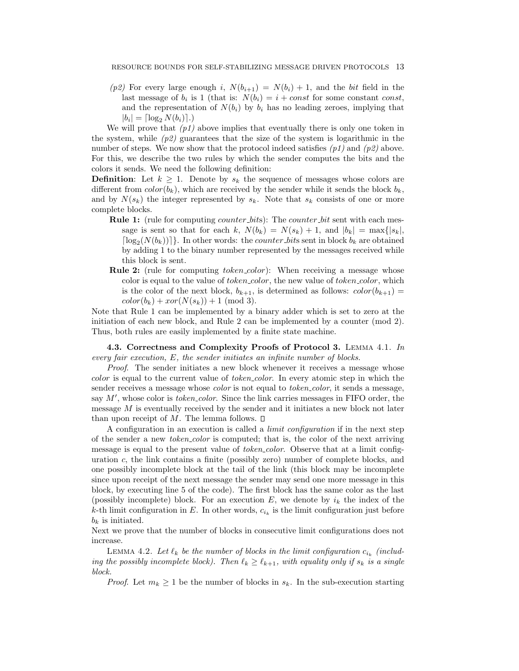(p2) For every large enough i,  $N(b_{i+1}) = N(b_i) + 1$ , and the bit field in the last message of  $b_i$  is 1 (that is:  $N(b_i) = i + const$  for some constant *const*, and the representation of  $N(b_i)$  by  $b_i$  has no leading zeroes, implying that  $|b_i| = \lceil \log_2 N(b_i) \rceil.$ 

We will prove that  $(p1)$  above implies that eventually there is only one token in the system, while  $(p2)$  guarantees that the size of the system is logarithmic in the number of steps. We now show that the protocol indeed satisfies  $(p1)$  and  $(p2)$  above. For this, we describe the two rules by which the sender computes the bits and the colors it sends. We need the following definition:

**Definition:** Let  $k \geq 1$ . Denote by  $s_k$  the sequence of messages whose colors are different from  $color(b_k)$ , which are received by the sender while it sends the block  $b_k$ , and by  $N(s_k)$  the integer represented by  $s_k$ . Note that  $s_k$  consists of one or more complete blocks.

- **Rule 1:** (rule for computing *counter bits*): The *counter bit* sent with each message is sent so that for each k,  $N(b_k) = N(s_k) + 1$ , and  $|b_k| = \max\{|s_k|,$  $\lceil \log_2(N(b_k)) \rceil$ . In other words: the *counter bits* sent in block  $b_k$  are obtained by adding 1 to the binary number represented by the messages received while this block is sent.
- Rule 2: (rule for computing *token\_color*): When receiving a message whose color is equal to the value of token\_color, the new value of token\_color, which is the color of the next block,  $b_{k+1}$ , is determined as follows:  $color(b_{k+1}) =$  $color(b_k) + xor(N(s_k)) + 1 \pmod{3}.$

Note that Rule 1 can be implemented by a binary adder which is set to zero at the initiation of each new block, and Rule 2 can be implemented by a counter (mod 2). Thus, both rules are easily implemented by a finite state machine.

4.3. Correctness and Complexity Proofs of Protocol 3. LEMMA 4.1. In every fair execution, E, the sender initiates an infinite number of blocks.

Proof. The sender initiates a new block whenever it receives a message whose color is equal to the current value of token color. In every atomic step in which the sender receives a message whose *color* is not equal to *token color*, it sends a message, say  $M'$ , whose color is *token\_color*. Since the link carries messages in FIFO order, the message M is eventually received by the sender and it initiates a new block not later than upon receipt of M. The lemma follows.  $\square$ 

A configuration in an execution is called a limit configuration if in the next step of the sender a new token color is computed; that is, the color of the next arriving message is equal to the present value of *token\_color*. Observe that at a limit configuration c, the link contains a finite (possibly zero) number of complete blocks, and one possibly incomplete block at the tail of the link (this block may be incomplete since upon receipt of the next message the sender may send one more message in this block, by executing line 5 of the code). The first block has the same color as the last (possibly incomplete) block. For an execution E, we denote by  $i_k$  the index of the k-th limit configuration in E. In other words,  $c_{i_k}$  is the limit configuration just before  $b_k$  is initiated.

Next we prove that the number of blocks in consecutive limit configurations does not increase.

LEMMA 4.2. Let  $\ell_k$  be the number of blocks in the limit configuration  $c_{i_k}$  (including the possibly incomplete block). Then  $\ell_k \ge \ell_{k+1}$ , with equality only if  $s_k$  is a single block.

*Proof.* Let  $m_k \geq 1$  be the number of blocks in  $s_k$ . In the sub-execution starting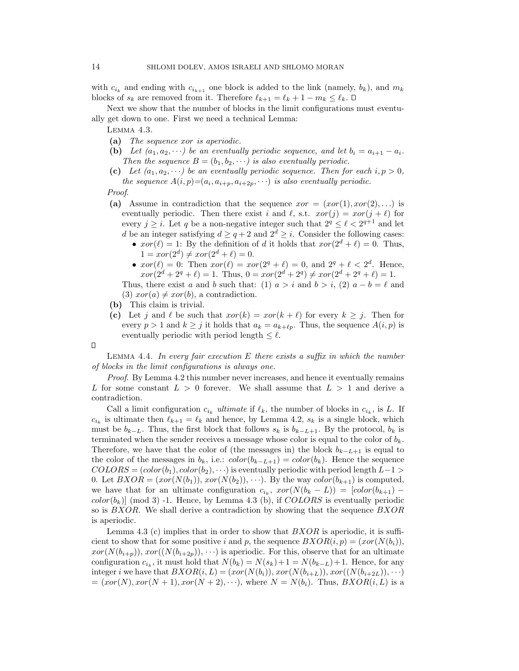with  $c_{i_k}$  and ending with  $c_{i_{k+1}}$  one block is added to the link (namely,  $b_k$ ), and  $m_k$ blocks of  $s_k$  are removed from it. Therefore  $\ell_{k+1} = \ell_k + 1 - m_k \leq \ell_k$ .  $\Box$ 

Next we show that the number of blocks in the limit configurations must eventually get down to one. First we need a technical Lemma:

Lemma 4.3.

- (a) The sequence xor is aperiodic.
- (b) Let  $(a_1, a_2, \dots)$  be an eventually periodic sequence, and let  $b_i = a_{i+1} a_i$ . Then the sequence  $B = (b_1, b_2, \dots)$  is also eventually periodic.
- (c) Let  $(a_1, a_2, \dots)$  be an eventually periodic sequence. Then for each  $i, p > 0$ , the sequence  $A(i, p) = (a_i, a_{i+p}, a_{i+2p}, \cdots)$  is also eventually periodic.

Proof.

- (a) Assume in contradiction that the sequence  $xor = (xor(1), xor(2), ...)$  is eventually periodic. Then there exist i and  $\ell$ , s.t.  $xor(j) = xor(j + \ell)$  for every  $j \geq i$ . Let q be a non-negative integer such that  $2^q \leq \ell < 2^{q+1}$  and let d be an integer satisfying  $d \geq q+2$  and  $2^d \geq i$ . Consider the following cases:
	- $\text{Tor}(\ell) = 1$ : By the definition of d it holds that  $\text{Tor}(2^d + \ell) = 0$ . Thus,  $1 = x \text{or}(2^d) \neq x \text{or}(2^d + \ell) = 0.$
	- $xor(\ell) = 0$ : Then  $xor(\ell) = xor(2^q + \ell) = 0$ , and  $2^q + \ell < 2^d$ . Hence,  $x \text{ or } (2^d + 2^q + \ell) = 1.$  Thus,  $0 = x \text{ or } (2^d + 2^q) \neq x \text{ or } (2^d + 2^q + \ell) = 1.$
	- Thus, there exist a and b such that: (1)  $a > i$  and  $b > i$ , (2)  $a b = \ell$  and (3)  $xor(a) \neq xor(b)$ , a contradiction.
- (b) This claim is trivial.
- (c) Let j and  $\ell$  be such that  $xor(k) = xor(k + \ell)$  for every  $k \geq j$ . Then for every  $p > 1$  and  $k \geq j$  it holds that  $a_k = a_{k+\ell p}$ . Thus, the sequence  $A(i, p)$  is eventually periodic with period length  $\leq \ell$ .



LEMMA 4.4. In every fair execution  $E$  there exists a suffix in which the number of blocks in the limit configurations is always one.

Proof. By Lemma 4.2 this number never increases, and hence it eventually remains L for some constant  $L > 0$  forever. We shall assume that  $L > 1$  and derive a contradiction.

Call a limit configuration  $c_{i_k}$  ultimate if  $\ell_k$ , the number of blocks in  $c_{i_k}$ , is L. If  $c_{i_k}$  is ultimate then  $\ell_{k+1} = \ell_k$  and hence, by Lemma 4.2,  $s_k$  is a single block, which must be  $b_{k-L}$ . Thus, the first block that follows  $s_k$  is  $b_{k-L+1}$ . By the protocol,  $b_k$  is terminated when the sender receives a message whose color is equal to the color of  $b_k$ . Therefore, we have that the color of (the messages in) the block  $b_{k-L+1}$  is equal to the color of the messages in  $b_k$ , i.e.:  $color(b_{k-L+1}) = color(b_k)$ . Hence the sequence  $COLORS = (color(b_1), color(b_2), \cdots)$  is eventually periodic with period length  $L-1 >$ 0. Let  $BXOR = (xor(N(b_1)), xor(N(b_2)), \cdots)$ . By the way  $color(b_{k+1})$  is computed, we have that for an ultimate configuration  $c_{i_k}$ ,  $\operatorname{xor}(N(b_k - L)) = [\operatorname{color}(b_{k+1})$  $color(b_k)]$  (mod 3) -1. Hence, by Lemma 4.3 (b), if  $COLORS$  is eventually periodic so is  $BXOR$ . We shall derive a contradiction by showing that the sequence  $BXOR$ is aperiodic.

Lemma 4.3 (c) implies that in order to show that  $BXOR$  is aperiodic, it is sufficient to show that for some positive i and p, the sequence  $BXOR(i, p) = (xor(N(b_i)),$  $xor(N(b_{i+p}))$ ,  $xor((N(b_{i+2p}))$ ,  $\dots)$  is aperiodic. For this, observe that for an ultimate configuration  $c_{i_k}$ , it must hold that  $N(b_k) = N(s_k) + 1 = N(b_{k-L}) + 1$ . Hence, for any integer i we have that  $BXOR(i, L) = (xor(N(b_i)), xor(N(b_{i+L})), xor((N(b_{i+2L})), \cdots)$  $=(xor(N), xor(N+1), xor(N+2), \cdots),$  where  $N = N(b_i)$ . Thus,  $BXOR(i, L)$  is a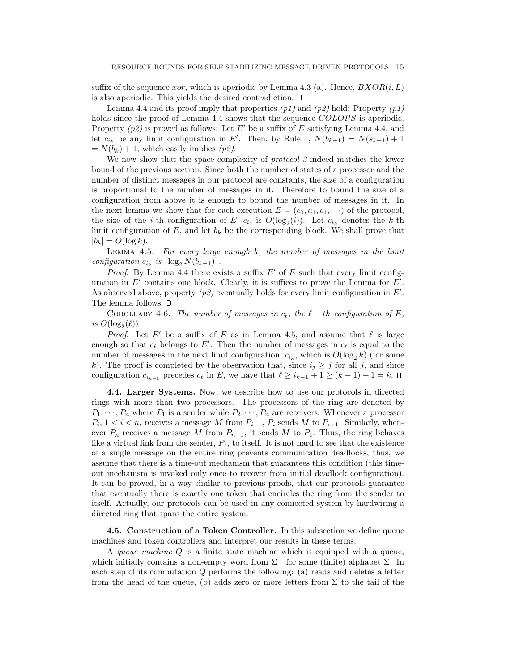suffix of the sequence *xor*, which is aperiodic by Lemma 4.3 (a). Hence,  $BXOR(i, L)$ is also aperiodic. This yields the desired contradiction.

Lemma 4.4 and its proof imply that properties  $(p1)$  and  $(p2)$  hold: Property  $(p1)$ holds since the proof of Lemma 4.4 shows that the sequence COLORS is aperiodic. Property  $(p2)$  is proved as follows: Let E' be a suffix of E satisfying Lemma 4.4, and let  $c_{i_k}$  be any limit configuration in E'. Then, by Rule 1,  $N(b_{k+1}) = N(s_{k+1}) + 1$  $= N(b_k) + 1$ , which easily implies  $(p2)$ .

We now show that the space complexity of *protocol 3* indeed matches the lower bound of the previous section. Since both the number of states of a processor and the number of distinct messages in our protocol are constants, the size of a configuration is proportional to the number of messages in it. Therefore to bound the size of a configuration from above it is enough to bound the number of messages in it. In the next lemma we show that for each execution  $E = (c_0, a_1, c_1, \cdots)$  of the protocol, the size of the *i*-th configuration of E,  $c_i$ , is  $O(log_2(i))$ . Let  $c_{i_k}$  denotes the k-th limit configuration of  $E$ , and let  $b_k$  be the corresponding block. We shall prove that  $|b_k| = O(\log k)$ .

LEMMA  $4.5$ . For every large enough  $k$ , the number of messages in the limit configuration  $c_{i_k}$  is  $\lceil \log_2 N(b_{k-1}) \rceil$ .

*Proof.* By Lemma 4.4 there exists a suffix  $E'$  of E such that every limit configuration in  $E'$  contains one block. Clearly, it is suffices to prove the Lemma for  $E'$ . As observed above, property  $(p2)$  eventually holds for every limit configuration in  $E'$ . The lemma follows.  $\square$ 

COROLLARY 4.6. The number of messages in  $c_{\ell}$ , the  $\ell - th$  configuration of E, is  $O(\log_2(\ell)).$ 

*Proof.* Let E' be a suffix of E as in Lemma 4.5, and assume that  $\ell$  is large enough so that  $c_{\ell}$  belongs to E'. Then the number of messages in  $c_{\ell}$  is equal to the number of messages in the next limit configuration,  $c_{i_k}$ , which is  $O(\log_2 k)$  (for some k). The proof is completed by the observation that, since  $i_j \geq j$  for all j, and since configuration  $c_{i_{k-1}}$  precedes  $c_\ell$  in E, we have that  $\ell \geq i_{k-1} + 1 \geq (k-1) + 1 = k$ .  $\Box$ 

4.4. Larger Systems. Now, we describe how to use our protocols in directed rings with more than two processors. The processors of the ring are denoted by  $P_1, \dots, P_n$  where  $P_1$  is a sender while  $P_2, \dots, P_n$  are receivers. Whenever a processor  $P_i$ ,  $1 < i < n$ , receives a message M from  $P_{i-1}$ ,  $P_i$  sends M to  $P_{i+1}$ . Similarly, whenever  $P_n$  receives a message M from  $P_{n-1}$ , it sends M to  $P_1$ . Thus, the ring behaves like a virtual link from the sender,  $P_1$ , to itself. It is not hard to see that the existence of a single message on the entire ring prevents communication deadlocks, thus, we assume that there is a time-out mechanism that guarantees this condition (this timeout mechanism is invoked only once to recover from initial deadlock configuration). It can be proved, in a way similar to previous proofs, that our protocols guarantee that eventually there is exactly one token that encircles the ring from the sender to itself. Actually, our protocols can be used in any connected system by hardwiring a directed ring that spans the entire system.

4.5. Construction of a Token Controller. In this subsection we define queue machines and token controllers and interpret our results in these terms.

A queue machine  $Q$  is a finite state machine which is equipped with a queue, which initially contains a non-empty word from  $\Sigma^+$  for some (finite) alphabet  $\Sigma$ . In each step of its computation Q performs the following: (a) reads and deletes a letter from the head of the queue, (b) adds zero or more letters from  $\Sigma$  to the tail of the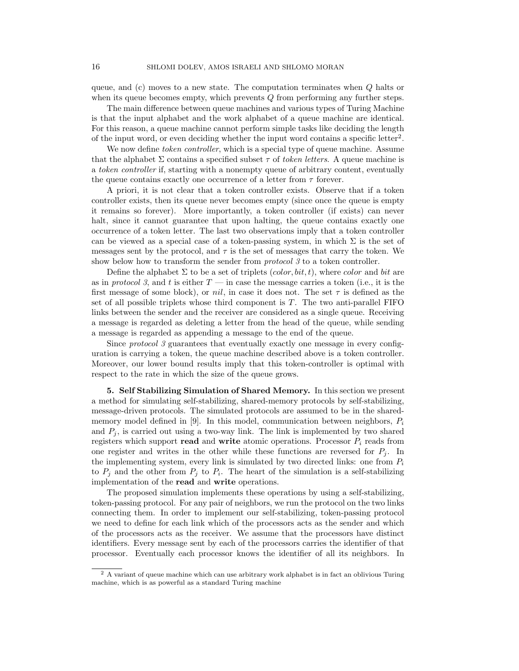queue, and  $(c)$  moves to a new state. The computation terminates when  $Q$  halts or when its queue becomes empty, which prevents  $Q$  from performing any further steps.

The main difference between queue machines and various types of Turing Machine is that the input alphabet and the work alphabet of a queue machine are identical. For this reason, a queue machine cannot perform simple tasks like deciding the length of the input word, or even deciding whether the input word contains a specific letter<sup>2</sup>.

We now define *token controller*, which is a special type of queue machine. Assume that the alphabet  $\Sigma$  contains a specified subset  $\tau$  of token letters. A queue machine is a token controller if, starting with a nonempty queue of arbitrary content, eventually the queue contains exactly one occurrence of a letter from  $\tau$  forever.

A priori, it is not clear that a token controller exists. Observe that if a token controller exists, then its queue never becomes empty (since once the queue is empty it remains so forever). More importantly, a token controller (if exists) can never halt, since it cannot guarantee that upon halting, the queue contains exactly one occurrence of a token letter. The last two observations imply that a token controller can be viewed as a special case of a token-passing system, in which  $\Sigma$  is the set of messages sent by the protocol, and  $\tau$  is the set of messages that carry the token. We show below how to transform the sender from *protocol* 3 to a token controller.

Define the alphabet  $\Sigma$  to be a set of triplets (color, bit, t), where color and bit are as in protocol 3, and t is either  $T$  — in case the message carries a token (i.e., it is the first message of some block), or *nil*, in case it does not. The set  $\tau$  is defined as the set of all possible triplets whose third component is  $T$ . The two anti-parallel FIFO links between the sender and the receiver are considered as a single queue. Receiving a message is regarded as deleting a letter from the head of the queue, while sending a message is regarded as appending a message to the end of the queue.

Since *protocol 3* guarantees that eventually exactly one message in every configuration is carrying a token, the queue machine described above is a token controller. Moreover, our lower bound results imply that this token-controller is optimal with respect to the rate in which the size of the queue grows.

5. Self Stabilizing Simulation of Shared Memory. In this section we present a method for simulating self-stabilizing, shared-memory protocols by self-stabilizing, message-driven protocols. The simulated protocols are assumed to be in the sharedmemory model defined in [9]. In this model, communication between neighbors,  $P_i$ and  $P_j$ , is carried out using a two-way link. The link is implemented by two shared registers which support read and write atomic operations. Processor  $P_i$  reads from one register and writes in the other while these functions are reversed for  $P_j$ . In the implementing system, every link is simulated by two directed links: one from  $P_i$ to  $P_j$  and the other from  $P_j$  to  $P_i$ . The heart of the simulation is a self-stabilizing implementation of the read and write operations.

The proposed simulation implements these operations by using a self-stabilizing, token-passing protocol. For any pair of neighbors, we run the protocol on the two links connecting them. In order to implement our self-stabilizing, token-passing protocol we need to define for each link which of the processors acts as the sender and which of the processors acts as the receiver. We assume that the processors have distinct identifiers. Every message sent by each of the processors carries the identifier of that processor. Eventually each processor knows the identifier of all its neighbors. In

<sup>&</sup>lt;sup>2</sup> A variant of queue machine which can use arbitrary work alphabet is in fact an oblivious Turing machine, which is as powerful as a standard Turing machine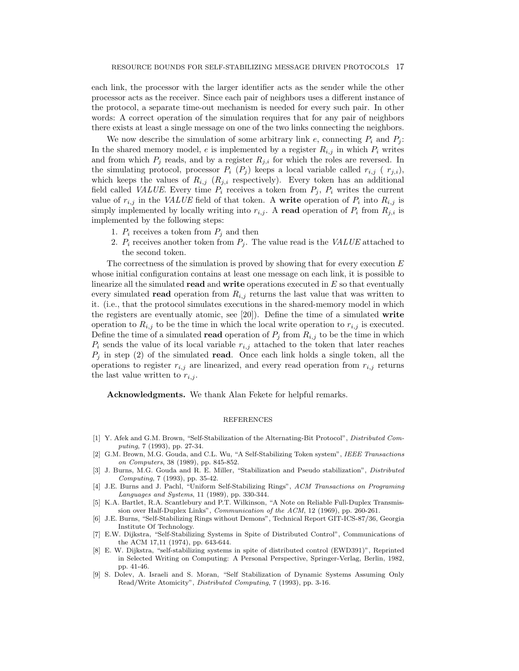each link, the processor with the larger identifier acts as the sender while the other processor acts as the receiver. Since each pair of neighbors uses a different instance of the protocol, a separate time-out mechanism is needed for every such pair. In other words: A correct operation of the simulation requires that for any pair of neighbors there exists at least a single message on one of the two links connecting the neighbors.

We now describe the simulation of some arbitrary link  $e$ , connecting  $P_i$  and  $P_j$ : In the shared memory model, e is implemented by a register  $R_{i,j}$  in which  $P_i$  writes and from which  $P_j$  reads, and by a register  $R_{j,i}$  for which the roles are reversed. In the simulating protocol, processor  $P_i(P_j)$  keeps a local variable called  $r_{i,j}$  ( $r_{j,i}$ ), which keeps the values of  $R_{i,j}$  ( $R_{i,i}$  respectively). Every token has an additional field called VALUE. Every time  $P_i$  receives a token from  $P_j$ ,  $P_i$  writes the current value of  $r_{i,j}$  in the VALUE field of that token. A write operation of  $P_i$  into  $R_{i,j}$  is simply implemented by locally writing into  $r_{i,j}$ . A read operation of  $P_i$  from  $R_{j,i}$  is implemented by the following steps:

- 1.  $P_i$  receives a token from  $P_i$  and then
- 2.  $P_i$  receives another token from  $P_i$ . The value read is the VALUE attached to the second token.

The correctness of the simulation is proved by showing that for every execution  $E$ whose initial configuration contains at least one message on each link, it is possible to linearize all the simulated read and write operations executed in  $E$  so that eventually every simulated **read** operation from  $R_{i,j}$  returns the last value that was written to it. (i.e., that the protocol simulates executions in the shared-memory model in which the registers are eventually atomic, see  $[20]$ . Define the time of a simulated write operation to  $R_{i,j}$  to be the time in which the local write operation to  $r_{i,j}$  is executed. Define the time of a simulated **read** operation of  $P_j$  from  $R_{i,j}$  to be the time in which  $P_i$  sends the value of its local variable  $r_{i,j}$  attached to the token that later reaches  $P_j$  in step (2) of the simulated **read**. Once each link holds a single token, all the operations to register  $r_{i,j}$  are linearized, and every read operation from  $r_{i,j}$  returns the last value written to  $r_{i,j}$ .

Acknowledgments. We thank Alan Fekete for helpful remarks.

#### REFERENCES

- [1] Y. Afek and G.M. Brown, "Self-Stabilization of the Alternating-Bit Protocol", Distributed Computing, 7 (1993), pp. 27-34.
- [2] G.M. Brown, M.G. Gouda, and C.L. Wu, "A Self-Stabilizing Token system", IEEE Transactions on Computers, 38 (1989), pp. 845-852.
- [3] J. Burns, M.G. Gouda and R. E. Miller, "Stabilization and Pseudo stabilization", Distributed Computing, 7 (1993), pp. 35-42.
- [4] J.E. Burns and J. Pachl, "Uniform Self-Stabilizing Rings", ACM Transactions on Programing Languages and Systems, 11 (1989), pp. 330-344.
- [5] K.A. Bartlet, R.A. Scantlebury and P.T. Wilkinson, "A Note on Reliable Full-Duplex Transmission over Half-Duplex Links", Communication of the ACM, 12 (1969), pp. 260-261.
- [6] J.E. Burns, "Self-Stabilizing Rings without Demons", Technical Report GIT-ICS-87/36, Georgia Institute Of Technology.
- [7] E.W. Dijkstra, "Self-Stabilizing Systems in Spite of Distributed Control", Communications of the ACM 17,11 (1974), pp. 643-644.
- [8] E. W. Dijkstra, "self-stabilizing systems in spite of distributed control (EWD391)", Reprinted in Selected Writing on Computing: A Personal Perspective, Springer-Verlag, Berlin, 1982, pp. 41-46.
- [9] S. Dolev, A. Israeli and S. Moran, "Self Stabilization of Dynamic Systems Assuming Only Read/Write Atomicity", Distributed Computing, 7 (1993), pp. 3-16.